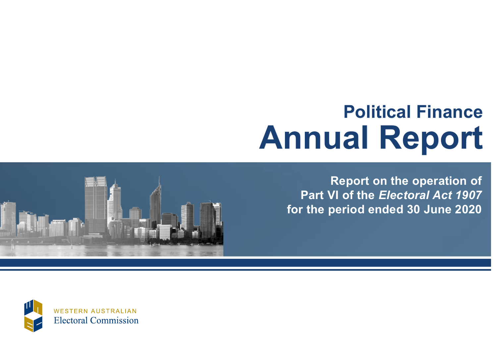# **Political Finance Annual Report**

<span id="page-0-0"></span>

**Report on the operation of Part VI of the** *Electoral Act 1907* **for the period ended 30 June 2020**

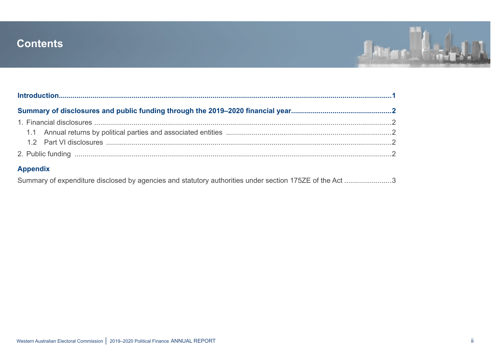## <span id="page-1-0"></span>**Contents**



| <b>Appendix</b>                                                                                         |  |
|---------------------------------------------------------------------------------------------------------|--|
| Summary of expenditure disclosed by agencies and statutory authorities under section 175ZE of the Act 3 |  |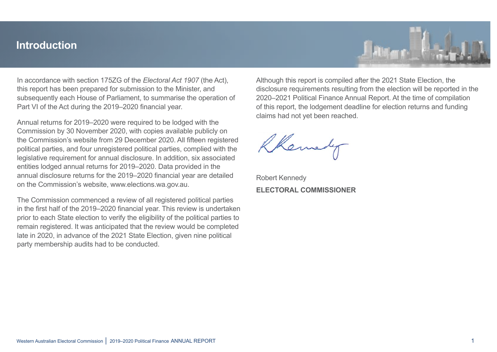## <span id="page-2-0"></span>**Introduction**



In accordance with section 175ZG of the *Electoral Act 1907* (the Act), this report has been prepared for submission to the Minister, and subsequently each House of Parliament, to summarise the operation of Part VI of the Act during the 2019–2020 financial year.

Annual returns for 2019–2020 were required to be lodged with the Commission by 30 November 2020, with copies available publicly on the Commission's website from 29 December 2020. All fifteen registered political parties, and four unregistered political parties, complied with the legislative requirement for annual disclosure. In addition, six associated entities lodged annual returns for 2019–2020. Data provided in the annual disclosure returns for the 2019–2020 financial year are detailed on the Commission's website, www.elections.wa.gov.au.

The Commission commenced a review of all registered political parties in the first half of the 2019–2020 financial year. This review is undertaken prior to each State election to verify the eligibility of the political parties to remain registered. It was anticipated that the review would be completed late in 2020, in advance of the 2021 State Election, given nine political party membership audits had to be conducted.

Although this report is compiled after the 2021 State Election, the disclosure requirements resulting from the election will be reported in the 2020–2021 Political Finance Annual Report. At the time of compilation of this report, the lodgement deadline for election returns and funding claims had not yet been reached.

Robert Kennedy **ELECTORAL COMMISSIONER**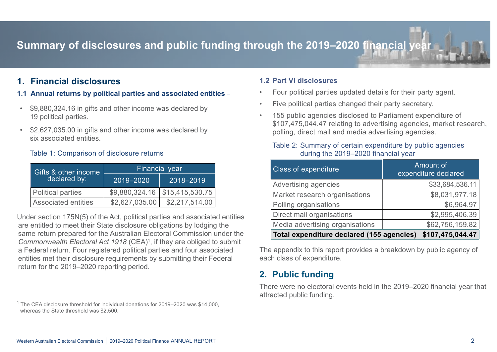# <span id="page-3-0"></span>**Summary of disclosures and public funding through the 2019–2020 financial year-**

### **1. Financial disclosures**

#### **1.1 Annual returns by political parties and associated entities** –

- \$9,880,324.16 in gifts and other income was declared by 19 political parties.
- \$2,627,035.00 in gifts and other income was declared by six associated entities.

#### Table 1: Comparison of disclosure returns

| Gifts & other income       | <b>Financial year</b> |                 |  |  |  |  |
|----------------------------|-----------------------|-----------------|--|--|--|--|
| declared by:               | 2019-2020             | 2018-2019       |  |  |  |  |
| <b>Political parties</b>   | \$9,880,324.16        | \$15,415,530.75 |  |  |  |  |
| <b>Associated entities</b> | \$2,627,035.00        | \$2,217,514.00  |  |  |  |  |

Under section 175N(5) of the Act, political parties and associated entities are entitled to meet their State disclosure obligations by lodging the same return prepared for the Australian Electoral Commission under the Commonwealth Electoral Act 1918 (CEA)<sup>1</sup>, if they are obliged to submit a Federal return. Four registered political parties and four associated entities met their disclosure requirements by submitting their Federal return for the 2019–2020 reporting period.

 $^1$  The CEA disclosure threshold for individual donations for 2019–2020 was \$14,000, whereas the State threshold was \$2,500.

#### **1.2 Part VI disclosures**

- Four political parties updated details for their party agent.
- Five political parties changed their party secretary.
- 155 public agencies disclosed to Parliament expenditure of \$107,475,044.47 relating to advertising agencies, market research, polling, direct mail and media advertising agencies.

#### Table 2: Summary of certain expenditure by public agencies during the 2019–2020 financial year

| <b>Class of expenditure</b>               | Amount of<br>expenditure declared |
|-------------------------------------------|-----------------------------------|
| Advertising agencies                      | \$33,684,536.11                   |
| Market research organisations             | \$8,031,977.18                    |
| Polling organisations                     | \$6,964.97                        |
| Direct mail organisations                 | \$2,995,406.39                    |
| Media advertising organisations           | \$62,756,159.82                   |
| Total expenditure declared (155 agencies) | \$107,475,044.47                  |

The appendix to this report provides a breakdown by public agency of each class of expenditure.

## **2. Public funding**

There were no electoral events held in the 2019–2020 financial year that attracted public funding.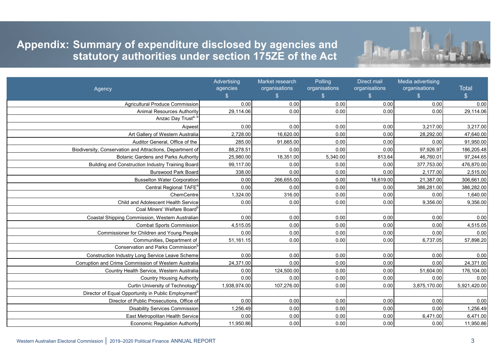

# <span id="page-4-0"></span>**Appendix: Summary of expenditure disclosed by agencies and Appendix 12: Statutory authorities under section 175ZE of the Act**

|                                                                 | Advertising<br>agencies | Market research<br>organisations | Polling<br>organisations | Direct mail<br>organisations | Media advertising<br>organisations | <b>Total</b>  |
|-----------------------------------------------------------------|-------------------------|----------------------------------|--------------------------|------------------------------|------------------------------------|---------------|
| Agency                                                          | $\frac{1}{2}$           | $\mathfrak{S}$                   | $\frac{1}{2}$            | $\sqrt[6]{3}$                | $\frac{1}{2}$                      | $\frac{1}{2}$ |
| <b>Agricultural Produce Commission</b>                          | 0.00                    | 0.00                             | 0.00                     | 0.00                         | 0.00                               | 0.00          |
| <b>Animal Resources Authority</b>                               | 29,114.06               | 0.00                             | 0.00                     | 0.00                         | 0.00                               | 29,114.06     |
| Anzac Day Trust <sup>a, b</sup>                                 |                         |                                  |                          |                              |                                    |               |
| Aqwest                                                          | 0.00                    | 0.00                             | 0.00                     | 0.00                         | 3,217.00                           | 3,217.00      |
| Art Gallery of Western Australia                                | 2,728.00                | 16,620.00                        | 0.00                     | 0.00                         | 28,292.00                          | 47,640.00     |
| Auditor General. Office of the                                  | 285.00                  | 91,665.00                        | 0.00                     | 0.00                         | 0.00                               | 91,950.00     |
| Biodiversity, Conservation and Attractions, Department of       | 88,278.51               | 0.00                             | 0.00                     | 0.00                         | 97,926.97                          | 186,205.48    |
| <b>Botanic Gardens and Parks Authority</b>                      | 25,980.00               | 18,351.00                        | 5,340.00                 | 813.64                       | 46,760.01                          | 97,244.65     |
| Building and Construction Industry Training Board               | 99,117.00               | 0.00                             | 0.00                     | 0.00                         | 377,753.00                         | 476,870.00    |
| <b>Burswood Park Board</b>                                      | 338.00                  | 0.00                             | 0.00                     | 0.00                         | 2,177.00                           | 2,515.00      |
| <b>Busselton Water Corporation</b>                              | 0.00                    | 266,655.00                       | 0.00                     | 18,619.00                    | 21,387.00                          | 306,661.00    |
| Central Regional TAFE <sup>a</sup>                              | 0.00                    | 0.00                             | 0.00                     | 0.00                         | 386,281.00                         | 386,282.00    |
| ChemCentre                                                      | 1,324.00                | 316.00                           | 0.00                     | 0.00                         | 0.00                               | 1,640.00      |
| Child and Adolescent Health Service                             | 0.00                    | 0.00                             | 0.00                     | 0.00                         | 9,356.00                           | 9,356.00      |
| Coal Miners' Welfare Board <sup>b</sup>                         |                         |                                  |                          |                              |                                    |               |
| Coastal Shipping Commission, Western Australian                 | 0.00                    | 0.00                             | 0.00                     | 0.00                         | 0.00                               | 0.00          |
| <b>Combat Sports Commission</b>                                 | 4,515.05                | 0.00                             | 0.00                     | 0.00                         | 0.00                               | 4,515.05      |
| Commissioner for Children and Young People                      | 0.00                    | 0.00                             | 0.00                     | 0.00                         | 0.00                               | 0.00          |
| Communities, Department of                                      | 51,161.15               | 0.00                             | 0.00                     | 0.00                         | 6,737.05                           | 57,898.20     |
| Conservation and Parks Commission <sup>b</sup>                  |                         |                                  |                          |                              |                                    |               |
| Construction Industry Long Service Leave Scheme                 | 0.00                    | 0.00                             | 0.00                     | 0.00                         | 0.00                               | 0.00          |
| Corruption and Crime Commission of Western Australia            | 24,371.00               | 0.00                             | 0.00                     | 0.00                         | 0.00                               | 24,371.00     |
| Country Health Service, Western Australia                       | 0.00                    | 124,500.00                       | 0.00                     | 0.00                         | 51,604.00                          | 176,104.00    |
| <b>Country Housing Authority</b>                                | 0.00                    | 0.00                             | 0.00                     | 0.00                         | 0.00                               | 0.00          |
| Curtin University of Technology <sup>a</sup>                    | 1,938,974.00            | 107,276.00                       | 0.00                     | 0.00                         | 3,875,170.00                       | 5,921,420.00  |
| Director of Equal Opportunity in Public Employment <sup>b</sup> |                         |                                  |                          |                              |                                    |               |
| Director of Public Prosecutions, Office of                      | 0.00                    | 0.00                             | 0.00                     | 0.00                         | 0.00                               | 0.00          |
| <b>Disability Services Commission</b>                           | 1,256.49                | 0.00                             | 0.00                     | 0.00                         | 0.00                               | 1,256.49      |
| East Metropolitan Health Service                                | 0.00                    | 0.00                             | 0.00                     | 0.00                         | 6,471.00                           | 6,471.00      |
| <b>Economic Regulation Authority</b>                            | 11,950.86               | 0.00                             | 0.00                     | 0.00                         | 0.00                               | 11,950.86     |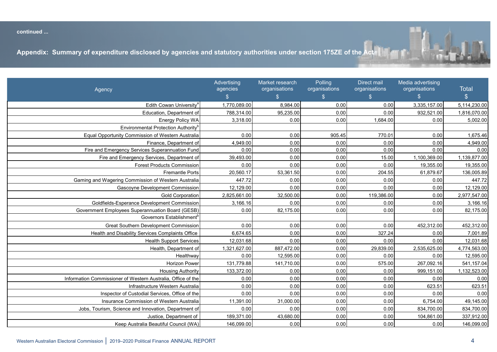<span id="page-5-0"></span>**continued ...** 



Conservation and Parks Commissionb

Director of Equal Opportunity in Public Employment<sup>b</sup>

|                                                              | Advertising<br>agencies | Market research<br>organisations | Polling<br>organisations | Direct mail<br>organisations | Media advertising<br>organisations | <b>Total</b>  |
|--------------------------------------------------------------|-------------------------|----------------------------------|--------------------------|------------------------------|------------------------------------|---------------|
| Agency                                                       | $\mathfrak{S}$          | $\mathbb{S}^-$                   | $\frac{1}{2}$            | $\frac{1}{2}$                | $\mathbb{S}$                       | $\frac{1}{2}$ |
| Edith Cowan University <sup>a</sup>                          | 1,770,089.00            | 8,984.00                         | 0.00                     | 0.00                         | 3,335,157.00                       | 5,114,230.00  |
| Education, Department of                                     | 788,314.00              | 95,235.00                        | 0.00                     | 0.00                         | 932,521.00                         | 1,816,070.00  |
| Energy Policy WA                                             | 3,318.00                | 0.00                             | 0.00                     | 1,684.00                     | 0.00                               | 5,002.00      |
| Environmental Protection Authority <sup>b</sup>              |                         |                                  |                          |                              |                                    |               |
| Equal Opportunity Commission of Western Australia            | 0.00                    | 0.00                             | 905.45                   | 770.01                       | 0.00                               | 1,675.46      |
| Finance, Department of                                       | 4,949.00                | 0.00                             | 0.00                     | 0.00                         | 0.00                               | 4,949.00      |
| Fire and Emergency Services Superannuation Fund              | 0.00                    | 0.00                             | 0.00                     | 0.00                         | 0.00                               | 0.00          |
| Fire and Emergency Services, Department of                   | 39,493.00               | 0.00                             | 0.00                     | 15.00                        | 1,100,369.00                       | 1,139,877.00  |
| <b>Forest Products Commission</b>                            | 0.00                    | 0.00                             | 0.00                     | 0.00                         | 19,355.00                          | 19,355.00     |
| <b>Fremantle Ports</b>                                       | 20,560.17               | 53,361.50                        | 0.00                     | 204.55                       | 61,879.67                          | 136,005.89    |
| Gaming and Wagering Commission of Western Australia          | 447.72                  | 0.00                             | 0.00                     | 0.00                         | 0.00                               | 447.72        |
| Gascoyne Development Commission                              | 12,129.00               | 0.00                             | 0.00                     | 0.00                         | 0.00                               | 12,129.00     |
| <b>Gold Corporation</b>                                      | 2,825,661.00            | 32,500.00                        | 0.00                     | 119,386.00                   | 0.00                               | 2,977,547.00  |
| Goldfields-Esperance Development Commission                  | 3,166.16                | 0.00                             | 0.00                     | 0.00                         | 0.00                               | 3,166.16      |
| Government Employees Superannuation Board (GESB)             | 0.00                    | 82,175.00                        | 0.00                     | 0.00                         | 0.00                               | 82,175.00     |
| Governors Establishment <sup>b</sup>                         |                         |                                  |                          |                              |                                    |               |
| <b>Great Southern Development Commission</b>                 | 0.00                    | 0.00                             | 0.00                     | 0.00                         | 452,312.00                         | 452,312.00    |
| Health and Disability Services Complaints Office             | 6,674.65                | 0.00                             | 0.00                     | 327.24                       | 0.00                               | 7,001.89      |
| <b>Health Support Services</b>                               | 12,031.68               | 0.00                             | 0.00                     | 0.00                         | 0.00                               | 12,031.68     |
| Health, Department of                                        | 1,321,627.00            | 887,472.00                       | 0.00                     | 29,839.00                    | 2,535,625.00                       | 4,774,563.00  |
| Healthwav                                                    | 0.00                    | 12,595.00                        | 0.00                     | 0.00                         | 0.00                               | 12,595.00     |
| <b>Horizon Power</b>                                         | 131,779.88              | 141,710.00                       | 0.00                     | 575.00                       | 267,092.16                         | 541,157.04    |
| <b>Housing Authority</b>                                     | 133,372.00              | 0.00                             | 0.00                     | 0.00                         | 999,151.00                         | 1,132,523.00  |
| Information Commissioner of Western Australia, Office of the | 0.00                    | 0.00                             | 0.00                     | 0.00                         | 0.00                               | 0.00          |
| Infrastructure Western Australia                             | 0.00                    | 0.00                             | 0.00                     | 0.00                         | 623.51                             | 623.51        |
| Inspector of Custodial Services, Office of the               | 0.00                    | 0.00                             | 0.00                     | 0.00                         | 0.00                               | 0.00          |
| Insurance Commission of Western Australia                    | 11,391.00               | 31,000.00                        | 0.00                     | 0.00                         | 6,754.00                           | 49,145.00     |
| Jobs, Tourism, Science and Innovation, Department of         | 0.00                    | 0.00                             | 0.00                     | 0.00                         | 834,700.00                         | 834,700.00    |
| Justice, Department of                                       | 189,371.00              | 43,680.00                        | 0.00                     | 0.00                         | 104,861.00                         | 337,912.00    |
| Keep Australia Beautiful Council (WA)                        | 146,099.00              | 0.00                             | 0.00                     | 0.00                         | 0.00                               | 146,099.00    |

Construction Industry Long Service Leave Scheme 0.00 0.00 0.00 0.00 0.00 0.00 Corruption and Crime Commission of Western Australia 24,371.00 0.00 0.00 0.00 0.00 24,371.00

Country Health Service, Western Australia 0.00 124,500.00 0.00 0.00 51,604.00 176,104.00

Curtin University of Technologya 1,938,974.00 107,276.00 0.00 0.00 3,875,170.00 5,921,420.00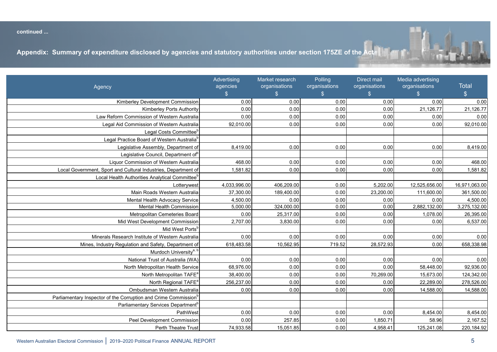<span id="page-6-0"></span>**continued ...**  Healthway 0.00 12,595.00 0.00 0.00 0.00 12,595.00



|                                                                             | Advertising<br>agencies | Market research<br>organisations | Polling<br>organisations | Direct mail<br>organisations | Media advertising<br>organisations | <b>Total</b>  |
|-----------------------------------------------------------------------------|-------------------------|----------------------------------|--------------------------|------------------------------|------------------------------------|---------------|
| Agency                                                                      | $\mathbb{S}$            | $\mathbb{S}$                     | $\mathfrak{S}$           | $\frac{1}{2}$                | $\frac{2}{3}$                      | $\mathcal{L}$ |
| Kimberley Development Commission                                            | 0.00                    | 0.00                             | 0.00                     | 0.00                         | 0.00                               | 0.00          |
| <b>Kimberley Ports Authority</b>                                            | 0.00                    | 0.00                             | 0.00                     | 0.00                         | 21,126.77                          | 21,126.77     |
| Law Reform Commission of Western Australia                                  | 0.00                    | 0.00                             | 0.00                     | 0.00                         | 0.00                               | 0.00          |
| Legal Aid Commission of Western Australia                                   | 92,010.00               | 0.00                             | 0.00                     | 0.00                         | 0.00                               | 92,010.00     |
| Legal Costs Committee <sup>b</sup>                                          |                         |                                  |                          |                              |                                    |               |
| Legal Practice Board of Western Australia <sup>b</sup>                      |                         |                                  |                          |                              |                                    |               |
| Legislative Assembly, Department of                                         | 8,419.00                | 0.00                             | 0.00                     | 0.00                         | 0.00                               | 8,419.00      |
| Legislative Council, Department of <sup>b</sup>                             |                         |                                  |                          |                              |                                    |               |
| Liquor Commission of Western Australia                                      | 468.00                  | 0.00                             | 0.00                     | 0.00                         | 0.00                               | 468.00        |
| Local Government, Sport and Cultural Industries, Department of              | 1,581.82                | 0.00                             | 0.00                     | 0.00                         | 0.00                               | 1,581.82      |
| Local Health Authorities Analytical Committee <sup>t</sup>                  |                         |                                  |                          |                              |                                    |               |
| Lotterywest                                                                 | 4,033,996.00            | 406,209.00                       | 0.00                     | 5,202.00                     | 12,525,656.00                      | 16,971,063.00 |
| Main Roads Western Australia                                                | 37,300.00               | 189,400.00                       | 0.00                     | 23,200.00                    | 111,600.00                         | 361,500.00    |
| Mental Health Advocacy Service                                              | 4,500.00                | 0.00                             | 0.00                     | 0.00                         | 0.00                               | 4,500.00      |
| Mental Health Commission                                                    | 5,000.00                | 324,000.00                       | 0.00                     | 0.00                         | 2,882,132.00                       | 3,275,132.00  |
| Metropolitan Cemeteries Board                                               | 0.00                    | 25,317.00                        | 0.00                     | 0.00                         | 1,078.00                           | 26,395.00     |
| Mid West Development Commission                                             | 2,707.00                | 3,830.00                         | 0.00                     | 0.00                         | 0.00                               | 6,537.00      |
| Mid West Ports <sup>b</sup>                                                 |                         |                                  |                          |                              |                                    |               |
| Minerals Research Institute of Western Australia                            | 0.00                    | 0.00                             | 0.00                     | 0.00                         | 0.00                               | 0.00          |
| Mines, Industry Regulation and Safety, Department of                        | 618,483.58              | 10,562.95                        | 719.52                   | 28,572.93                    | 0.00                               | 658,338.98    |
| Murdoch University <sup>a, b</sup>                                          |                         |                                  |                          |                              |                                    |               |
| National Trust of Australia (WA)                                            | 0.00                    | 0.00                             | 0.00                     | 0.00                         | 0.00                               | 0.00          |
| North Metropolitan Health Service                                           | 68,976.00               | 0.00                             | 0.00                     | 0.00                         | 58,448.00                          | 92,936.00     |
| North Metropolitan TAFE <sup>a</sup>                                        | 38,400.00               | 0.00                             | 0.00                     | 70,269.00                    | 15,673.00                          | 124,342.00    |
| North Regional TAFE <sup>a</sup>                                            | 256,237.00              | 0.00                             | 0.00                     | 0.00                         | 22,289.00                          | 278,526.00    |
| Ombudsman Western Australia                                                 | 0.00                    | 0.00                             | 0.00                     | 0.00                         | 14,588.00                          | 14,588.00     |
| Parliamentary Inspector of the Corruption and Crime Commission <sup>b</sup> |                         |                                  |                          |                              |                                    |               |
| Parliamentary Services Department <sup>b</sup>                              |                         |                                  |                          |                              |                                    |               |
| PathWest                                                                    | 0.00                    | 0.00                             | 0.00                     | 0.00                         | 8,454.00                           | 8,454.00      |
| Peel Development Commission                                                 | 0.00                    | 257.85                           | 0.00                     | 1,850.71                     | 58.96                              | 2,167.52      |
| Perth Theatre Trust                                                         | 74,933.58               | 15,051.85                        | 0.00                     | 4,958.41                     | 125,241.08                         | 220,184.92    |

Health, Department of 1,321,627.00 887,472.00 0.00 29,839.00 2,535,625.00 4,774,563.00

Inspector of Custodial Services, Office of the 0.00 0.00 0.00 0.00 0.00 0.00

Horizon Power 131,779.88 141,710.00 0.00 575.00 267,092.16 541,157.04 Housing Authority 133,372.00 0.00 0.00 0.00 999,151.00 1,132,523.00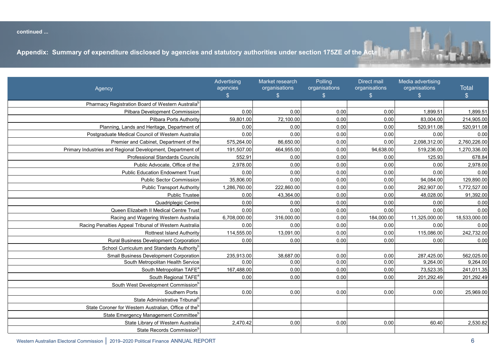<span id="page-7-0"></span>**continued ...** 



Murdoch Universitya, b

Parliamentary Inspector of the Corruption and Crime Commissionb

| Agency                                                           | Advertising<br>agencies<br>$\mathcal{L}$ | Market research<br>organisations<br>$\mathbb{S}$ | Polling<br>organisations<br>$\mathcal{S}$ | Direct mail<br>organisations<br>$\frac{1}{2}$ | Media advertising<br>organisations<br>$\mathfrak{S}$ | <b>Total</b><br>$\frac{1}{2}$ |
|------------------------------------------------------------------|------------------------------------------|--------------------------------------------------|-------------------------------------------|-----------------------------------------------|------------------------------------------------------|-------------------------------|
| Pharmacy Registration Board of Western Australia <sup>b</sup>    |                                          |                                                  |                                           |                                               |                                                      |                               |
| <b>Pilbara Development Commission</b>                            | 0.00                                     | 0.00                                             | 0.00                                      | 0.00                                          | 1,899.51                                             | 1,899.51                      |
| Pilbara Ports Authority                                          | 59,801.00                                | 72,100.00                                        | 0.00                                      | 0.00                                          | 83,004.00                                            | 214,905.00                    |
| Planning, Lands and Heritage, Department of                      | 0.00                                     | 0.00                                             | 0.00                                      | 0.00                                          | 520,911.08                                           | 520,911.08                    |
| Postgraduate Medical Council of Western Australia                | 0.00                                     | 0.00                                             | 0.00                                      | 0.00                                          | 0.00                                                 | 0.00                          |
| Premier and Cabinet, Department of the                           | 575,264.00                               | 86,650.00                                        | 0.00                                      | 0.00                                          | 2,098,312.00                                         | 2,760,226.00                  |
| Primary Industries and Regional Development, Department of       | 191,507.00                               | 464,955.00                                       | 0.00                                      | 94,638.00                                     | 519,236.00                                           | 1,270,336.00                  |
| <b>Professional Standards Councils</b>                           | 552.91                                   | 0.00                                             | 0.00                                      | 0.00                                          | 125.93                                               | 678.84                        |
| Public Advocate, Office of the                                   | 2,978.00                                 | 0.00                                             | 0.00                                      | 0.00                                          | 0.00                                                 | 2,978.00                      |
| <b>Public Education Endowment Trust</b>                          | 0.00                                     | 0.00                                             | 0.00                                      | 0.00                                          | 0.00                                                 | 0.00                          |
| <b>Public Sector Commission</b>                                  | 35,806.00                                | 0.00                                             | 0.00                                      | 0.00                                          | 94,084.00                                            | 129,890.00                    |
| <b>Public Transport Authority</b>                                | 1,286,760.00                             | 222,860.00                                       | 0.00                                      | 0.00                                          | 262,907.00                                           | 1,772,527.00                  |
| <b>Public Trustee</b>                                            | 0.00                                     | 43,364.00                                        | 0.00                                      | 0.00                                          | 48,028.00                                            | 91,392.00                     |
| Quadriplegic Centre                                              | 0.00                                     | 0.00                                             | 0.00                                      | 0.00                                          | 0.00                                                 | 0.00                          |
| Queen Elizabeth II Medical Centre Trust                          | 0.00                                     | 0.00                                             | 0.00                                      | 0.00                                          | 0.00                                                 | 0.00                          |
| Racing and Wagering Western Australia                            | 6,708,000.00                             | 316,000.00                                       | 0.00                                      | 184,000.00                                    | 11,325,000.00                                        | 18,533,000.00                 |
| Racing Penalties Appeal Tribunal of Western Australia            | 0.00                                     | 0.00                                             | 0.00                                      | 0.00                                          | 0.00                                                 | 0.00                          |
| <b>Rottnest Island Authority</b>                                 | 114,555.00                               | 13,091.00                                        | 0.00                                      | 0.00                                          | 115,086.00                                           | 242,732.00                    |
| <b>Rural Business Development Corporation</b>                    | 0.00                                     | 0.00                                             | 0.00                                      | 0.00                                          | 0.00                                                 | 0.00                          |
| School Curriculum and Standards Authority <sup>t</sup>           |                                          |                                                  |                                           |                                               |                                                      |                               |
| <b>Small Business Development Corporation</b>                    | 235,913.00                               | 38,687.00                                        | 0.00                                      | 0.00                                          | 287,425.00                                           | 562,025.00                    |
| South Metropolitan Health Service                                | 0.00                                     | 0.00                                             | 0.00                                      | 0.00                                          | 9,264.00                                             | 9,264.00                      |
| South Metropolitan TAFE <sup>®</sup>                             | 167,488.00                               | 0.00                                             | 0.00                                      | 0.00                                          | 73,523.35                                            | 241,011.35                    |
| South Regional TAFE <sup>6</sup>                                 | 0.00                                     | 0.00                                             | 0.00                                      | 0.00                                          | 201,292.49                                           | 201,292.49                    |
| South West Development Commission <sup>t</sup>                   |                                          |                                                  |                                           |                                               |                                                      |                               |
| Southern Ports                                                   | 0.00                                     | 0.00                                             | 0.00                                      | 0.00                                          | 0.00                                                 | 25,969.00                     |
| State Administrative Tribunal <sup>b</sup>                       |                                          |                                                  |                                           |                                               |                                                      |                               |
| State Coroner for Western Australian, Office of the <sup>t</sup> |                                          |                                                  |                                           |                                               |                                                      |                               |
| State Emergency Management Committeet                            |                                          |                                                  |                                           |                                               |                                                      |                               |
| State Library of Western Australia                               | 2,470.42                                 | 0.00                                             | 0.00                                      | 0.00                                          | 60.40                                                | 2,530.82                      |
| State Records Commission <sup>b</sup>                            |                                          |                                                  |                                           |                                               |                                                      |                               |

National Trust of Australia (WA) 0.00 0.00 0.00 0.00 0.00 0.00 North Metropolitan Health Service 68,976.00 0.00 0.00 0.00 58,448.00 92,936.00 North Metropolitan TAFE<sup>a</sup> 38,400.00 0.00 0.00 70,269.00 15,673.00 124,342.00

Ombudsman Western Australia 0.00 0.00 0.00 0.00 14,588.00 14,588.00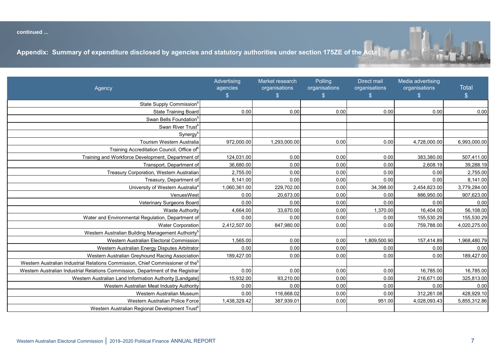<span id="page-8-0"></span>المستقبل المستقبل المستقبل المستقبل المستقبل المستقبل المستقبل المستقبل المستقبل المستقبل المستقبل المستقبل ال<br>المستقبل المستقبل المستقبل المستقبل المستقبل المستقبل المستقبل المستقبل المستقبل المستقبل المستقبل المستقبل



State Administrative Tribunal<sup>b</sup>

|                                                                                            | Advertising    | Market research | Polling       | Direct mail   | Media advertising |               |
|--------------------------------------------------------------------------------------------|----------------|-----------------|---------------|---------------|-------------------|---------------|
| Agency                                                                                     | agencies       | organisations   | organisations | organisations | organisations     | <b>Total</b>  |
|                                                                                            | $\mathfrak{S}$ | $\mathbb{S}$    | $\mathbb{S}$  | $\frac{2}{3}$ | $\frac{1}{2}$     | $\frac{1}{2}$ |
| State Supply Commission <sup>b</sup>                                                       |                |                 |               |               |                   |               |
| <b>State Training Board</b>                                                                | 0.00           | 0.00            | 0.00          | 0.00          | 0.00              | 0.00          |
| Swan Bells Foundation                                                                      |                |                 |               |               |                   |               |
| Swan River Trust <sup>b</sup>                                                              |                |                 |               |               |                   |               |
| Synergy <sup>t</sup>                                                                       |                |                 |               |               |                   |               |
| Tourism Western Australia                                                                  | 972,000.00     | 1,293,000.00    | 0.00          | 0.00          | 4,728,000.00      | 6,993,000.00  |
| Training Accreditation Council, Office of                                                  |                |                 |               |               |                   |               |
| Training and Workforce Development, Department of                                          | 124,031.00     | 0.00            | 0.00          | 0.00          | 383,380.00        | 507,411.00    |
| Transport, Department of                                                                   | 36,680.00      | 0.00            | 0.00          | 0.00          | 2,608.19          | 39,288.19     |
| Treasury Corporation, Western Australian                                                   | 2,755.00       | 0.00            | 0.00          | 0.00          | 0.00              | 2,755.00      |
| Treasury, Department of                                                                    | 8,141.00       | 0.00            | 0.00          | 0.00          | 0.00              | 8,141.00      |
| University of Western Australia <sup>a</sup>                                               | 1,060,361.00   | 229,702.00      | 0.00          | 34,398.00     | 2,454,823.00      | 3,779,284.00  |
| VenuesWest                                                                                 | 0.00           | 20,673.00       | 0.00          | 0.00          | 886,950.00        | 907,623.00    |
| Veterinary Surgeons Board                                                                  | 0.00           | 0.00            | 0.00          | 0.00          | 0.00              | 0.00          |
| <b>Waste Authority</b>                                                                     | 4,664.00       | 33,670.00       | 0.00          | 1,370.00      | 16,404.00         | 56,108.00     |
| Water and Environmental Regulation, Department of                                          | 0.00           | 0.00            | 0.00          | 0.00          | 155,530.29        | 155,530.29    |
| <b>Water Corporation</b>                                                                   | 2,412,507.00   | 847,980.00      | 0.00          | 0.00          | 759,788.00        | 4,020,275.00  |
| Western Australian Building Management Authoirty <sup>b</sup>                              |                |                 |               |               |                   |               |
| Western Australian Electoral Commission                                                    | 1,565.00       | 0.00            | 0.00          | 1,809,500.90  | 157,414.89        | 1,968,480.79  |
| Western Australian Energy Disputes Arbitrator                                              | 0.00           | 0.00            | 0.00          | 0.00          | 0.00              | 0.00          |
| Western Australian Greyhound Racing Association                                            | 189,427.00     | 0.00            | 0.00          | 0.00          | 0.00              | 189,427.00    |
| Western Australian Industrial Relations Commission, Chief Commissioner of the <sup>b</sup> |                |                 |               |               |                   |               |
| Western Australian Industrial Relations Commission, Department of the Registrar            | 0.00           | 0.00            | 0.00          | 0.00          | 16,785.00         | 16,785.00     |
| Western Australian Land Information Authority [Landgate]                                   | 15,932.00      | 93,210.00       | 0.00          | 0.00          | 216,671.00        | 325,813.00    |
| Western Australian Meat Industry Authority                                                 | 0.00           | 0.00            | 0.00          | 0.00          | 0.00              | 0.00          |
| Western Australian Museum                                                                  | 0.00           | 116,668.02      | 0.00          | 0.00          | 312,261.08        | 428,929.10    |
| Western Australian Police Force                                                            | 1,438,329.42   | 387,939.01      | 0.00          | 951.00        | 4,028,093.43      | 5,855,312.86  |
| Western Australian Regional Development Trust <sup>b</sup>                                 |                |                 |               |               |                   |               |

**(\$) (\$) (\$) (\$) (\$) (\$)**

South Metropolitan TAFE<sup>a</sup> 167,488.00 0.00 0.00 0.00 73,523.35 241,011.35 South Regional TAFE<sup>a</sup> 0.00 0.00 0.00 0.00 201,292.49 201,292.49

Southern Ports 0.00 0.00 0.00 0.00 0.00 25,969.00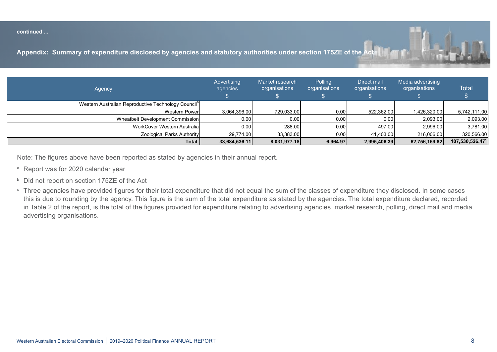#### <span id="page-9-0"></span>**continued ...**

Appendix: Summary of expenditure disclosed by agencies and statutory authorities under section 175ZE of the

| Agency                                                          | Advertising<br>agencies | Market research<br>organisations | Polling<br>organisations | Direct mail<br>organisations | Media advertising<br>organisations | <b>Total</b>    |
|-----------------------------------------------------------------|-------------------------|----------------------------------|--------------------------|------------------------------|------------------------------------|-----------------|
| Western Australian Reproductive Technology Council <sup>p</sup> |                         |                                  |                          |                              |                                    |                 |
| <b>Western Power</b>                                            | 3,064,396.00            | 729,033.00                       | 0.00                     | 522,362.00                   | 1,426,320.00                       | 5,742,111.00    |
| Wheatbelt Development Commission                                | 0.00                    | 0.00                             | 0.00                     | 0.00                         | 2,093.00                           | 2,093.00        |
| WorkCover Western Australia                                     | 0.00                    | 288.00                           | 0.00                     | 497.00                       | 2,996.00                           | 3,781.00        |
| Zoological Parks Authority                                      | 29,774.00               | 33,383.00                        | 0.00                     | 41,403.00                    | 216,006.00                         | 320,566.00      |
| <b>Total</b>                                                    | 33,684,536.11           | 8,031,977.18                     | 6,964.97                 | 2,995,406.39                 | 62,756,159.82                      | 107,530,526.47° |

Note: The figures above have been reported as stated by agencies in their annual report. Note: The figures above have been reported as stated by agencies in their annual report.

- a Report was for 2020 calendar year Report was for 2020 calendar year
- $^{\circ}$  Did not report on section 175ZE of the Act Three agencies in the sum of the sum of the classes  $\frac{1}{\sqrt{2}}$  the classes that disclosed. In some cases the agency. In some cases the agency. In some cases the sum of  $\frac{1}{\sqrt{2}}$
- <sup>c</sup> Three agencies have provided figures for their total expenditure that did not equal the sum of the classes of expenditure they disclosed. In some cases this is due to rounding by the agency. This figure is the sum of the total expenditure as stated by the agencies. The total expenditure declared, recorded in Table 2 of the report, is the total of the figures provided for expenditure relating to advertising agencies, market research, polling, direct mail and media advertising organisations.